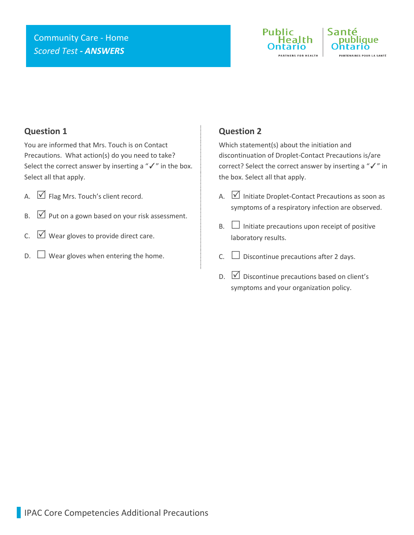# Community Care - Home *Scored Test - ANSWERS*





#### **Question 1**

You are informed that Mrs. Touch is on Contact Precautions. What action(s) do you need to take? Select the correct answer by inserting a "√" in the box. Select all that apply.

- A.  $\boxed{\vee}$  Flag Mrs. Touch's client record.
- $\mathsf{B.} \quad \boxed{\vee}$  Put on a gown based on your risk assessment.
- C.  $\Box$  Wear gloves to provide direct care.
- $\Box$  Wear gloves when entering the home.

### **Question 2**

Which statement(s) about the initiation and discontinuation of Droplet-Contact Precautions is/are correct? Select the correct answer by inserting a "✓" in the box. Select all that apply.

- A.  $\boxed{\vee}$  Initiate Droplet-Contact Precautions as soon as symptoms of a respiratory infection are observed.
- $B.$   $\Box$  Initiate precautions upon receipt of positive laboratory results.
- C.  $\Box$  Discontinue precautions after 2 days.
- $D.$   $\Box$  Discontinue precautions based on client's symptoms and your organization policy.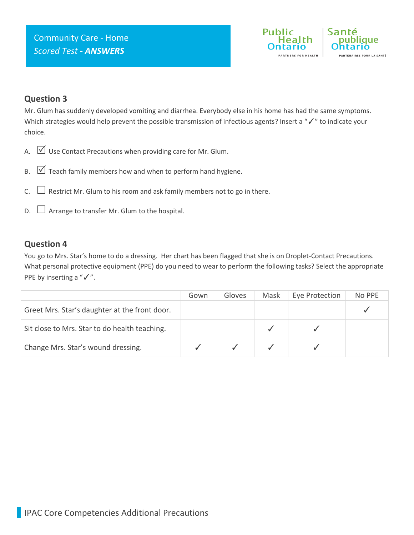

### **Question 3**

Mr. Glum has suddenly developed vomiting and diarrhea. Everybody else in his home has had the same symptoms. Which strategies would help prevent the possible transmission of infectious agents? Insert a "✓" to indicate your choice.

- A.  $\boxtimes$  Use Contact Precautions when providing care for Mr. Glum.
- B.  $\triangledown$  Teach family members how and when to perform hand hygiene.
- C.  $\Box$  Restrict Mr. Glum to his room and ask family members not to go in there.
- $D.$   $\Box$  Arrange to transfer Mr. Glum to the hospital.

#### **Question 4**

You go to Mrs. Star's home to do a dressing. Her chart has been flagged that she is on Droplet-Contact Precautions. What personal protective equipment (PPE) do you need to wear to perform the following tasks? Select the appropriate PPE by inserting a "√".

|                                               | Gown | Gloves | Mask | Eye Protection | No PPE |
|-----------------------------------------------|------|--------|------|----------------|--------|
| Greet Mrs. Star's daughter at the front door. |      |        |      |                |        |
| Sit close to Mrs. Star to do health teaching. |      |        |      |                |        |
| Change Mrs. Star's wound dressing.            |      |        |      |                |        |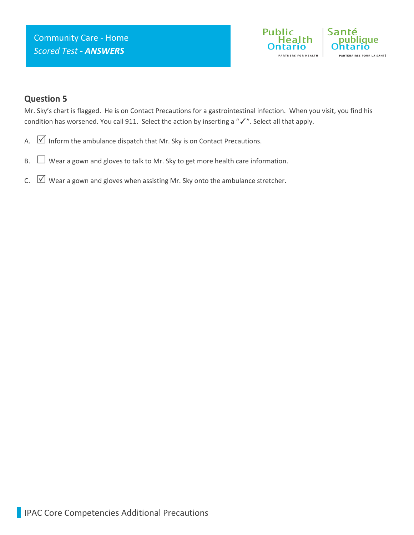

### **Question 5**

Mr. Sky's chart is flagged. He is on Contact Precautions for a gastrointestinal infection. When you visit, you find his condition has worsened. You call 911. Select the action by inserting a "✓". Select all that apply.

- A.  $\boxed{\vee}$  Inform the ambulance dispatch that Mr. Sky is on Contact Precautions.
- $B.$   $\Box$  Wear a gown and gloves to talk to Mr. Sky to get more health care information.
- C.  $\boxtimes$  Wear a gown and gloves when assisting Mr. Sky onto the ambulance stretcher.